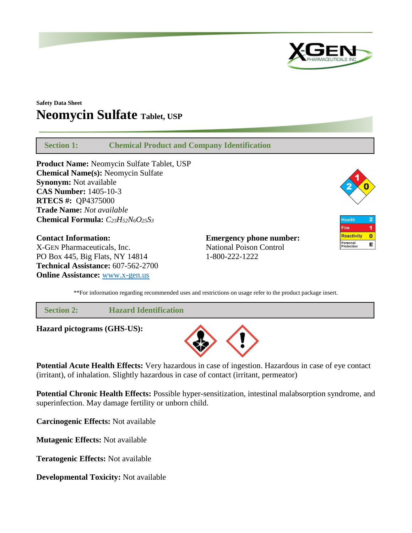

# **Safety Data Sheet Neomycin Sulfate Tablet, USP**

 **Section 1: Chemical Product and Company Identification Product Name:** Neomycin Sulfate Tablet, USP **Chemical Name(s):** Neomycin Sulfate **Synonym:** Not available **CAS Number:** 1405-10-3 **RTECS #:** QP4375000 **Trade Name:** *Not available* **Chemical Formula:** *C23H52N6O25S<sup>3</sup>*  $\overline{2}$ Health 1 Fire **Reactivity**  $\overline{\mathbf{0}}$ **Contact Information: Emergency phone number:** Personal<br>Protection E X-GEN Pharmaceuticals, Inc. National Poison Control PO Box 445, Big Flats, NY 14814 1-800-222-1222

\*\*For information regarding recommended uses and restrictions on usage refer to the product package insert.

 **Section 2: Hazard Identification**

**Hazard pictograms (GHS-US):**

**Technical Assistance:** 607-562-2700 **Online Assistance:** [www.x-gen.us](http://www.x-gen.us/)



**Potential Acute Health Effects:** Very hazardous in case of ingestion. Hazardous in case of eye contact (irritant), of inhalation. Slightly hazardous in case of contact (irritant, permeator)

**Potential Chronic Health Effects:** Possible hyper-sensitization, intestinal malabsorption syndrome, and superinfection. May damage fertility or unborn child.

**Carcinogenic Effects:** Not available

**Mutagenic Effects:** Not available

**Teratogenic Effects:** Not available

**Developmental Toxicity:** Not available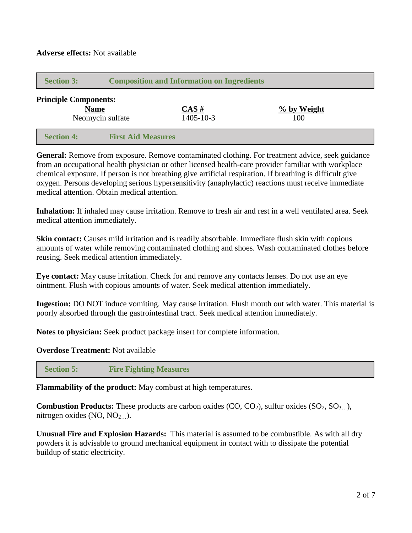| <b>Section 3:</b>            | <b>Composition and Information on Ingredients</b> |                             |                    |  |
|------------------------------|---------------------------------------------------|-----------------------------|--------------------|--|
| <b>Principle Components:</b> | <b>Name</b><br>Neomycin sulfate                   | $CAS \#$<br>$1405 - 10 - 3$ | % by Weight<br>100 |  |
| <b>Section 4:</b>            | <b>First Aid Measures</b>                         |                             |                    |  |

General: Remove from exposure. Remove contaminated clothing. For treatment advice, seek guidance from an occupational health physician or other licensed health-care provider familiar with workplace chemical exposure. If person is not breathing give artificial respiration. If breathing is difficult give oxygen. Persons developing serious hypersensitivity (anaphylactic) reactions must receive immediate medical attention. Obtain medical attention.

**Inhalation:** If inhaled may cause irritation. Remove to fresh air and rest in a well ventilated area. Seek medical attention immediately.

**Skin contact:** Causes mild irritation and is readily absorbable. Immediate flush skin with copious amounts of water while removing contaminated clothing and shoes. Wash contaminated clothes before reusing. Seek medical attention immediately.

**Eye contact:** May cause irritation. Check for and remove any contacts lenses. Do not use an eye ointment. Flush with copious amounts of water. Seek medical attention immediately.

**Ingestion:** DO NOT induce vomiting. May cause irritation. Flush mouth out with water. This material is poorly absorbed through the gastrointestinal tract. Seek medical attention immediately.

**Notes to physician:** Seek product package insert for complete information.

**Overdose Treatment:** Not available

 **Section 5: Fire Fighting Measures**

**Flammability of the product:** May combust at high temperatures.

**Combustion Products:** These products are carbon oxides (CO, CO<sub>2</sub>), sulfur oxides (SO<sub>2</sub>, SO<sub>3…</sub>), nitrogen oxides  $(NO, NO<sub>2</sub>$ .

**Unusual Fire and Explosion Hazards:** This material is assumed to be combustible. As with all dry powders it is advisable to ground mechanical equipment in contact with to dissipate the potential buildup of static electricity.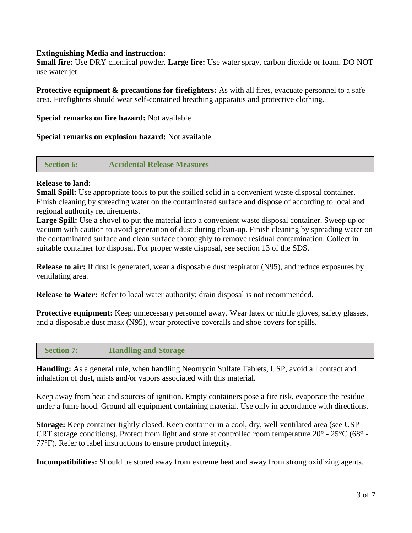# **Extinguishing Media and instruction:**

**Small fire:** Use DRY chemical powder. **Large fire:** Use water spray, carbon dioxide or foam. DO NOT use water jet.

**Protective equipment & precautions for firefighters:** As with all fires, evacuate personnel to a safe area. Firefighters should wear self-contained breathing apparatus and protective clothing.

**Special remarks on fire hazard:** Not available

**Special remarks on explosion hazard:** Not available

 **Section 6: Accidental Release Measures**

## **Release to land:**

**Small Spill:** Use appropriate tools to put the spilled solid in a convenient waste disposal container. Finish cleaning by spreading water on the contaminated surface and dispose of according to local and regional authority requirements.

**Large Spill:** Use a shovel to put the material into a convenient waste disposal container. Sweep up or vacuum with caution to avoid generation of dust during clean-up. Finish cleaning by spreading water on the contaminated surface and clean surface thoroughly to remove residual contamination. Collect in suitable container for disposal. For proper waste disposal, see section 13 of the SDS.

**Release to air:** If dust is generated, wear a disposable dust respirator (N95), and reduce exposures by ventilating area.

**Release to Water:** Refer to local water authority; drain disposal is not recommended.

**Protective equipment:** Keep unnecessary personnel away. Wear latex or nitrile gloves, safety glasses, and a disposable dust mask (N95), wear protective coveralls and shoe covers for spills.

# **Section 7: Handling and Storage**

**Handling:** As a general rule, when handling Neomycin Sulfate Tablets, USP, avoid all contact and inhalation of dust, mists and/or vapors associated with this material.

Keep away from heat and sources of ignition. Empty containers pose a fire risk, evaporate the residue under a fume hood. Ground all equipment containing material. Use only in accordance with directions.

**Storage:** Keep container tightly closed. Keep container in a cool, dry, well ventilated area (see USP CRT storage conditions). Protect from light and store at controlled room temperature  $20^{\circ}$  -  $25^{\circ}$ C (68° -77°F). Refer to label instructions to ensure product integrity.

**Incompatibilities:** Should be stored away from extreme heat and away from strong oxidizing agents.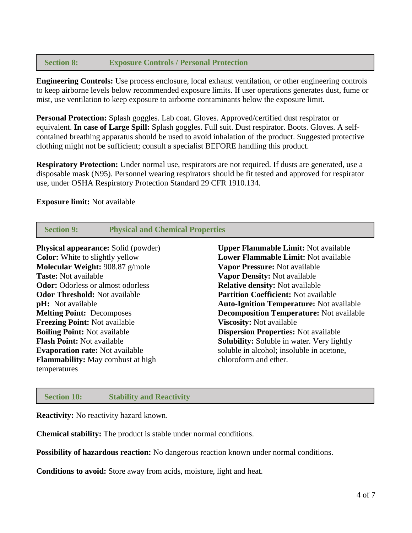# **Section 8: Exposure Controls / Personal Protection**

**Engineering Controls:** Use process enclosure, local exhaust ventilation, or other engineering controls to keep airborne levels below recommended exposure limits. If user operations generates dust, fume or mist, use ventilation to keep exposure to airborne contaminants below the exposure limit.

**Personal Protection:** Splash goggles. Lab coat. Gloves. Approved/certified dust respirator or equivalent. **In case of Large Spill:** Splash goggles. Full suit. Dust respirator. Boots. Gloves. A selfcontained breathing apparatus should be used to avoid inhalation of the product. Suggested protective clothing might not be sufficient; consult a specialist BEFORE handling this product.

**Respiratory Protection:** Under normal use, respirators are not required. If dusts are generated, use a disposable mask (N95). Personnel wearing respirators should be fit tested and approved for respirator use, under OSHA Respiratory Protection Standard 29 CFR 1910.134.

#### **Exposure limit:** Not available

| <b>Section 9:</b>                          | <b>Physical and Chemical Properties</b> |                                                   |  |
|--------------------------------------------|-----------------------------------------|---------------------------------------------------|--|
| <b>Physical appearance:</b> Solid (powder) |                                         | <b>Upper Flammable Limit:</b> Not available       |  |
| <b>Color:</b> White to slightly yellow     |                                         | <b>Lower Flammable Limit:</b> Not available       |  |
| Molecular Weight: 908.87 g/mole            |                                         | Vapor Pressure: Not available                     |  |
| <b>Taste:</b> Not available                |                                         | Vapor Density: Not available                      |  |
| <b>Odor:</b> Odorless or almost odorless   |                                         | <b>Relative density: Not available</b>            |  |
| <b>Odor Threshold: Not available</b>       |                                         | <b>Partition Coefficient: Not available</b>       |  |
| <b>pH</b> : Not available                  |                                         | <b>Auto-Ignition Temperature:</b> Not available   |  |
| <b>Melting Point: Decomposes</b>           |                                         | <b>Decomposition Temperature:</b> Not available   |  |
| <b>Freezing Point: Not available</b>       |                                         | <b>Viscosity:</b> Not available                   |  |
| <b>Boiling Point: Not available</b>        |                                         | <b>Dispersion Properties:</b> Not available       |  |
| <b>Flash Point: Not available</b>          |                                         | <b>Solubility:</b> Soluble in water. Very lightly |  |
| <b>Evaporation rate:</b> Not available     |                                         | soluble in alcohol; insoluble in acetone,         |  |
| <b>Flammability:</b> May combust at high   |                                         | chloroform and ether.                             |  |
| temperatures                               |                                         |                                                   |  |
|                                            |                                         |                                                   |  |

## **Section 10: Stability and Reactivity**

**Reactivity:** No reactivity hazard known.

**Chemical stability:** The product is stable under normal conditions.

**Possibility of hazardous reaction:** No dangerous reaction known under normal conditions.

**Conditions to avoid:** Store away from acids, moisture, light and heat.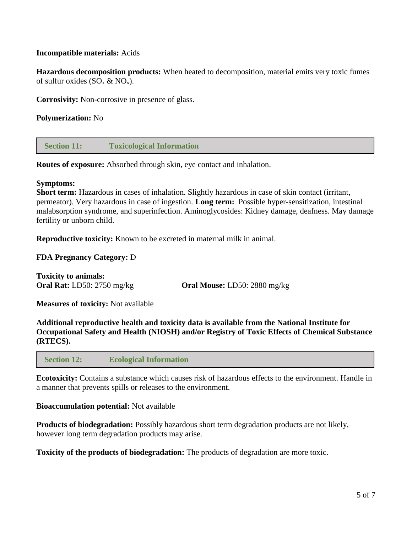# **Incompatible materials:** Acids

**Hazardous decomposition products:** When heated to decomposition, material emits very toxic fumes of sulfur oxides  $(SO_x \& NO_x)$ .

**Corrosivity:** Non-corrosive in presence of glass.

# **Polymerization:** No

 **Section 11: Toxicological Information**

**Routes of exposure:** Absorbed through skin, eye contact and inhalation.

#### **Symptoms:**

**Short term:** Hazardous in cases of inhalation. Slightly hazardous in case of skin contact (irritant, permeator). Very hazardous in case of ingestion. **Long term:** Possible hyper-sensitization, intestinal malabsorption syndrome, and superinfection. Aminoglycosides: Kidney damage, deafness. May damage fertility or unborn child.

**Reproductive toxicity:** Known to be excreted in maternal milk in animal.

## **FDA Pregnancy Category:** D

**Toxicity to animals:**

**Oral Rat:** LD50: 2750 mg/kg **Oral Mouse:** LD50: 2880 mg/kg

**Measures of toxicity:** Not available

**Additional reproductive health and toxicity data is available from the National Institute for Occupational Safety and Health (NIOSH) and/or Registry of Toxic Effects of Chemical Substance (RTECS).**

 **Section 12: Ecological Information**

**Ecotoxicity:** Contains a substance which causes risk of hazardous effects to the environment. Handle in a manner that prevents spills or releases to the environment.

## **Bioaccumulation potential:** Not available

**Products of biodegradation:** Possibly hazardous short term degradation products are not likely, however long term degradation products may arise.

**Toxicity of the products of biodegradation:** The products of degradation are more toxic.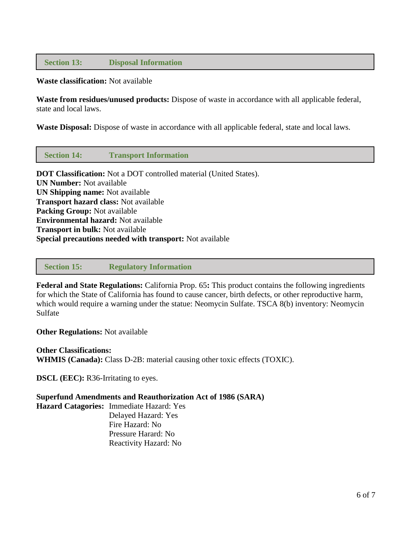# **Section 13: Disposal Information**

#### **Waste classification:** Not available

**Waste from residues/unused products:** Dispose of waste in accordance with all applicable federal, state and local laws.

**Waste Disposal:** Dispose of waste in accordance with all applicable federal, state and local laws.

 **Section 14: Transport Information**

**DOT Classification:** Not a DOT controlled material (United States). **UN Number:** Not available **UN Shipping name:** Not available **Transport hazard class:** Not available **Packing Group:** Not available **Environmental hazard:** Not available **Transport in bulk:** Not available **Special precautions needed with transport:** Not available

#### **Section 15: Regulatory Information**

**Federal and State Regulations:** California Prop. 65**:** This product contains the following ingredients for which the State of California has found to cause cancer, birth defects, or other reproductive harm, which would require a warning under the statue: Neomycin Sulfate. TSCA 8(b) inventory: Neomycin Sulfate

**Other Regulations:** Not available

**Other Classifications: WHMIS (Canada):** Class D-2B: material causing other toxic effects (TOXIC).

**DSCL** (**EEC**): R36-Irritating to eyes.

## **Superfund Amendments and Reauthorization Act of 1986 (SARA)**

**Hazard Catagories:** Immediate Hazard: Yes Delayed Hazard: Yes Fire Hazard: No Pressure Harard: No Reactivity Hazard: No